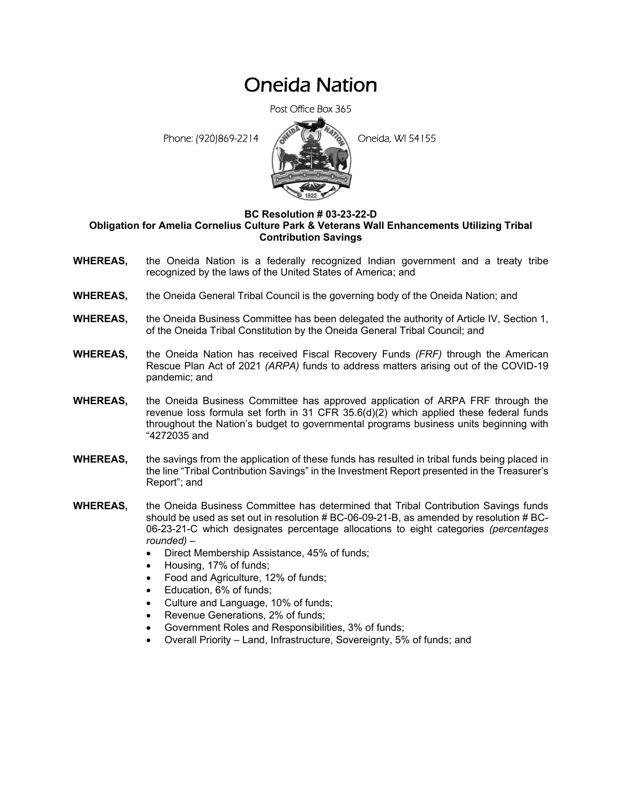# Oneida Nation

Post Office Box 365

Phone: (920)869-2214 **Conduct** Oneida, WI 54155



## **BC Resolution # 03-23-22-D**

#### **Obligation for Amelia Cornelius Culture Park & Veterans Wall Enhancements Utilizing Tribal Contribution Savings**

- **WHEREAS,** the Oneida Nation is a federally recognized Indian government and a treaty tribe recognized by the laws of the United States of America; and
- **WHEREAS,** the Oneida General Tribal Council is the governing body of the Oneida Nation; and
- **WHEREAS,** the Oneida Business Committee has been delegated the authority of Article IV, Section 1, of the Oneida Tribal Constitution by the Oneida General Tribal Council; and
- **WHEREAS,** the Oneida Nation has received Fiscal Recovery Funds *(FRF)* through the American Rescue Plan Act of 2021 *(ARPA)* funds to address matters arising out of the COVID-19 pandemic; and
- **WHEREAS,** the Oneida Business Committee has approved application of ARPA FRF through the revenue loss formula set forth in 31 CFR 35.6(d)(2) which applied these federal funds throughout the Nation's budget to governmental programs business units beginning with "4272035 and
- **WHEREAS,** the savings from the application of these funds has resulted in tribal funds being placed in the line "Tribal Contribution Savings" in the Investment Report presented in the Treasurer's Report"; and
- **WHEREAS,** the Oneida Business Committee has determined that Tribal Contribution Savings funds should be used as set out in resolution # BC-06-09-21-B, as amended by resolution # BC-06-23-21-C which designates percentage allocations to eight categories *(percentages rounded)* –
	- Direct Membership Assistance, 45% of funds;
	- Housing, 17% of funds;
	- Food and Agriculture, 12% of funds;
	- Education, 6% of funds;
	- Culture and Language, 10% of funds;
	- Revenue Generations, 2% of funds;
	- Government Roles and Responsibilities, 3% of funds;
	- Overall Priority Land, Infrastructure, Sovereignty, 5% of funds; and